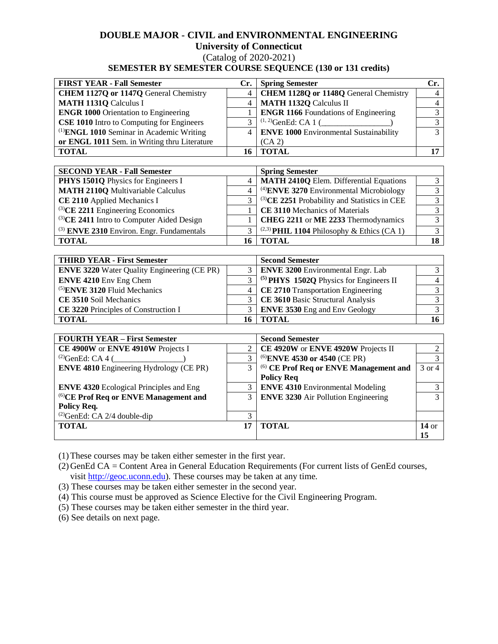## **DOUBLE MAJOR - CIVIL and ENVIRONMENTAL ENGINEERING**

# **University of Connecticut**

(Catalog of 2020-2021)

# **SEMESTER BY SEMESTER COURSE SEQUENCE (130 or 131 credits)**

| <b>FIRST YEAR - Fall Semester</b>                    | Cr. | <b>Spring Semester</b>                      |  |
|------------------------------------------------------|-----|---------------------------------------------|--|
| CHEM 1127Q or 1147Q General Chemistry                |     | 4   CHEM 1128Q or 1148Q General Chemistry   |  |
| <b>MATH 1131Q Calculus I</b>                         |     | 4   MATH 1132Q Calculus II                  |  |
| <b>ENGR 1000</b> Orientation to Engineering          |     | <b>ENGR 1166</b> Foundations of Engineering |  |
| <b>CSE 1010</b> Intro to Computing for Engineers     |     | $(1, 2)$ GenEd: CA 1 (                      |  |
| <sup>(1)</sup> ENGL 1010 Seminar in Academic Writing |     | 4   ENVE 1000 Environmental Sustainability  |  |
| or ENGL 1011 Sem. in Writing thru Literature         |     | (CA2)                                       |  |
| <b>TOTAL</b>                                         |     | <b>TOTAL</b>                                |  |

| <b>SECOND YEAR - Fall Semester</b>              |  | <b>Spring Semester</b>                                                    |  |
|-------------------------------------------------|--|---------------------------------------------------------------------------|--|
| <b>PHYS 1501Q</b> Physics for Engineers I       |  | MATH 2410Q Elem. Differential Equations                                   |  |
| <b>MATH 2110Q Multivariable Calculus</b>        |  | $\overline{4}$ <sup>(4)</sup> <b>ENVE 3270</b> Environmental Microbiology |  |
| CE 2110 Applied Mechanics I                     |  | (3) CE 2251 Probability and Statistics in CEE                             |  |
| $^{(3)}$ CE 2211 Engineering Economics          |  | CE 3110 Mechanics of Materials                                            |  |
| $^{(3)}$ CE 2411 Intro to Computer Aided Design |  | CHEG 2211 or ME 2233 Thermodynamics                                       |  |
| (3) ENVE 2310 Environ. Engr. Fundamentals       |  | <sup>(2,3)</sup> PHIL 1104 Philosophy & Ethics (CA 1)                     |  |
| <b>TOTAL</b>                                    |  | <b>TOTAL</b>                                                              |  |

| <b>THIRD YEAR - First Semester</b>                 | <b>Second Semester</b>                             |  |
|----------------------------------------------------|----------------------------------------------------|--|
| <b>ENVE 3220</b> Water Quality Engineering (CE PR) | <b>ENVE 3200</b> Environmental Engr. Lab           |  |
| <b>ENVE 4210</b> Env Eng Chem                      | <sup>(5)</sup> PHYS 1502Q Physics for Engineers II |  |
| $^{(5)}$ ENVE 3120 Fluid Mechanics                 | 4   CE 2710 Transportation Engineering             |  |
| CE 3510 Soil Mechanics                             | 3   CE 3610 Basic Structural Analysis              |  |
| CE 3220 Principles of Construction I               | <b>ENVE 3530</b> Eng and Env Geology               |  |
| <b>TOTAL</b>                                       | <b>TOTAL</b>                                       |  |

| <b>FOURTH YEAR - First Semester</b>               |   | <b>Second Semester</b>                            |                 |
|---------------------------------------------------|---|---------------------------------------------------|-----------------|
| CE 4900W or ENVE 4910W Projects I                 |   | CE 4920W or ENVE 4920W Projects II                |                 |
| <sup>(2)</sup> GenEd: CA 4 (                      | 3 | <sup>(6)</sup> ENVE 4530 or 4540 (CE PR)          |                 |
| <b>ENVE 4810</b> Engineering Hydrology (CE PR)    | 3 | <sup>(6)</sup> CE Prof Req or ENVE Management and | 3 or 4          |
|                                                   |   | <b>Policy Req</b>                                 |                 |
| <b>ENVE 4320</b> Ecological Principles and Eng    |   | <b>ENVE 4310 Environmental Modeling</b>           |                 |
| <sup>(6)</sup> CE Prof Req or ENVE Management and | 3 | <b>ENVE 3230</b> Air Pollution Engineering        |                 |
| <b>Policy Req.</b>                                |   |                                                   |                 |
| $^{(2)}$ GenEd: CA 2/4 double-dip                 |   |                                                   |                 |
| <b>TOTAL</b>                                      |   | <b>TOTAL</b>                                      | $14 \text{ or}$ |
|                                                   |   |                                                   | 15              |

(1)These courses may be taken either semester in the first year.

(2) GenEd CA = Content Area in General Education Requirements (For current lists of GenEd courses, visit [http://geoc.uconn.edu\)](http://geoc.uconn.edu/). These courses may be taken at any time.

(3) These courses may be taken either semester in the second year.

(4) This course must be approved as Science Elective for the Civil Engineering Program.

(5) These courses may be taken either semester in the third year.

(6) See details on next page.